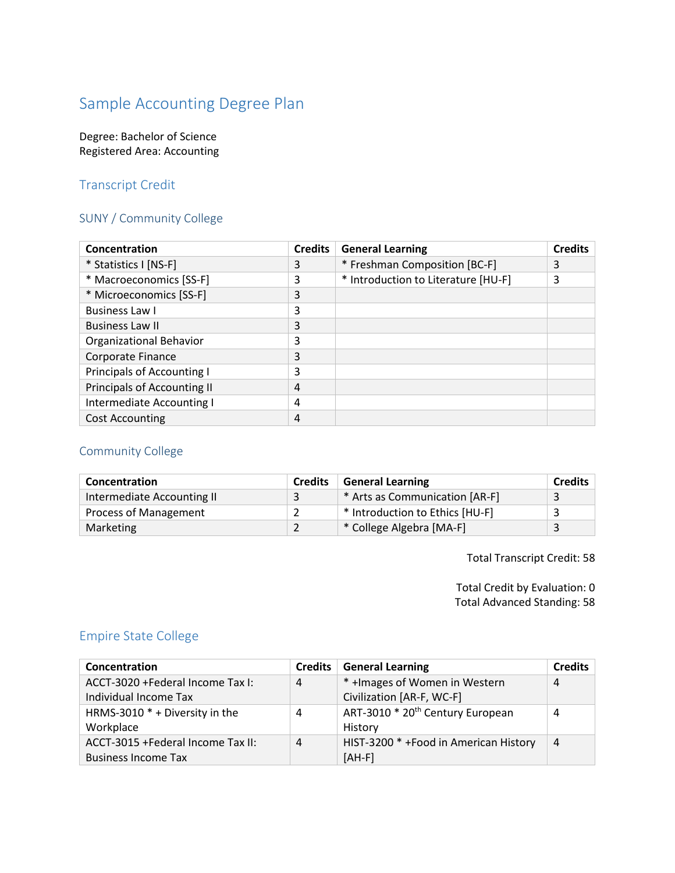# Sample Accounting Degree Plan

#### Degree: Bachelor of Science Registered Area: Accounting

#### Transcript Credit

#### SUNY / Community College

| Concentration                     | <b>Credits</b> | <b>General Learning</b>             | <b>Credits</b> |
|-----------------------------------|----------------|-------------------------------------|----------------|
| * Statistics I [NS-F]             | 3              | * Freshman Composition [BC-F]       | 3              |
| * Macroeconomics [SS-F]           | 3              | * Introduction to Literature [HU-F] | 3              |
| * Microeconomics [SS-F]           | 3              |                                     |                |
| <b>Business Law I</b>             | 3              |                                     |                |
| <b>Business Law II</b>            | 3              |                                     |                |
| Organizational Behavior           | 3              |                                     |                |
| Corporate Finance                 | 3              |                                     |                |
| <b>Principals of Accounting I</b> | 3              |                                     |                |
| Principals of Accounting II       | 4              |                                     |                |
| Intermediate Accounting I         | 4              |                                     |                |
| <b>Cost Accounting</b>            | 4              |                                     |                |

### Community College

| Concentration                | <b>Credits</b> | <b>General Learning</b>         | <b>Credits</b> |
|------------------------------|----------------|---------------------------------|----------------|
| Intermediate Accounting II   |                | * Arts as Communication [AR-F]  |                |
| <b>Process of Management</b> |                | * Introduction to Ethics [HU-F] |                |
| Marketing                    |                | * College Algebra [MA-F]        |                |

Total Transcript Credit: 58

Total Credit by Evaluation: 0 Total Advanced Standing: 58

#### Empire State College

| Concentration                      | <b>Credits</b> | <b>General Learning</b>                      | <b>Credits</b> |
|------------------------------------|----------------|----------------------------------------------|----------------|
| ACCT-3020 + Federal Income Tax I:  | 4              | * + Images of Women in Western               | 4              |
| Individual Income Tax              |                | Civilization [AR-F, WC-F]                    |                |
| HRMS-3010 * + Diversity in the     | 4              | ART-3010 * 20 <sup>th</sup> Century European | 4              |
| Workplace                          |                | History                                      |                |
| ACCT-3015 + Federal Income Tax II: | 4              | HIST-3200 * +Food in American History        | $\overline{4}$ |
| <b>Business Income Tax</b>         |                | $[AH-F]$                                     |                |